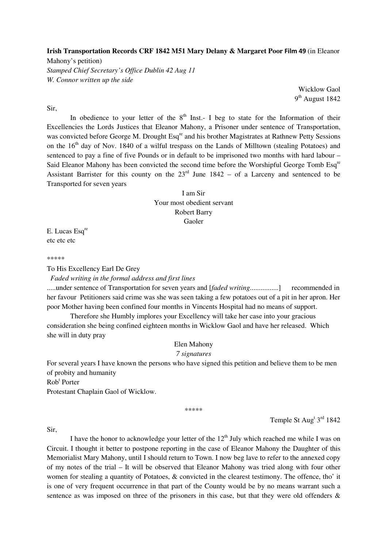## **Irish Transportation Records CRF 1842 M51 Mary Delany & Margaret Poor** Film 49 (in Eleanor

Mahony's petition) *Stamped Chief Secretary's Office Dublin 42 Aug 11 W. Connor written up the side* 

> Wicklow Gaol 9<sup>th</sup> August 1842

# Sir,

In obedience to your letter of the  $8<sup>th</sup>$  Inst.- I beg to state for the Information of their Excellencies the Lords Justices that Eleanor Mahony, a Prisoner under sentence of Transportation, was convicted before George M. Drought Esq<sup>re</sup> and his brother Magistrates at Rathnew Petty Sessions on the 16<sup>th</sup> day of Nov. 1840 of a wilful trespass on the Lands of Milltown (stealing Potatoes) and sentenced to pay a fine of five Pounds or in default to be imprisoned two months with hard labour – Said Eleanor Mahony has been convicted the second time before the Worshipful George Tomb Esq<sup>re</sup> Assistant Barrister for this county on the  $23<sup>rd</sup>$  June 1842 – of a Larceny and sentenced to be Transported for seven years

> I am Sir Your most obedient servant Robert Barry Gaoler

E. Lucas Esq<sup>re</sup> etc etc etc

\*\*\*\*\*

To His Excellency Earl De Grey

*Faded writing in the formal address and first lines*

.....under sentence of Transportation for seven years and [*faded writing*................] recommended in her favour Petitioners said crime was she was seen taking a few potatoes out of a pit in her apron. Her poor Mother having been confined four months in Vincents Hospital had no means of support.

 Therefore she Humbly implores your Excellency will take her case into your gracious consideration she being confined eighteen months in Wicklow Gaol and have her released. Which she will in duty pray

Elen Mahony

## *7 signatures*

For several years I have known the persons who have signed this petition and believe them to be men of probity and humanity

Rob<sup>t</sup> Porter

Protestant Chaplain Gaol of Wicklow.

\*\*\*\*\*

Temple St Aug<sup>t 3rd</sup> 1842

Sir,

I have the honor to acknowledge your letter of the  $12<sup>th</sup>$  July which reached me while I was on Circuit. I thought it better to postpone reporting in the case of Eleanor Mahony the Daughter of this Memorialist Mary Mahony, until I should return to Town. I now beg lave to refer to the annexed copy of my notes of the trial – It will be observed that Eleanor Mahony was tried along with four other women for stealing a quantity of Potatoes, & convicted in the clearest testimony. The offence, tho' it is one of very frequent occurrence in that part of the County would be by no means warrant such a sentence as was imposed on three of the prisoners in this case, but that they were old offenders &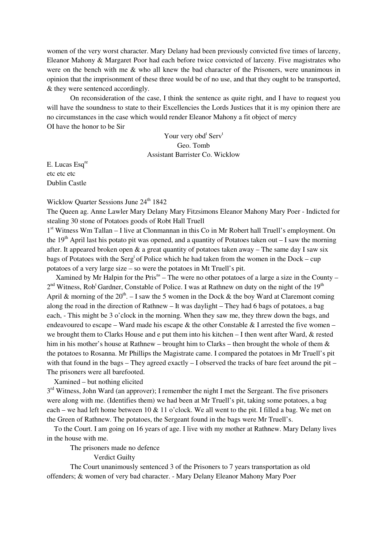women of the very worst character. Mary Delany had been previously convicted five times of larceny, Eleanor Mahony & Margaret Poor had each before twice convicted of larceny. Five magistrates who were on the bench with me  $\&$  who all knew the bad character of the Prisoners, were unanimous in opinion that the imprisonment of these three would be of no use, and that they ought to be transported, & they were sentenced accordingly.

 On reconsideration of the case, I think the sentence as quite right, and I have to request you will have the soundness to state to their Excellencies the Lords Justices that it is my opinion there are no circumstances in the case which would render Eleanor Mahony a fit object of mercy OI have the honor to be Sir

> Your very obd<sup>t</sup> Serv<sup>t</sup> Geo. Tomb Assistant Barrister Co. Wicklow

E. Lucas Esq<sup>re</sup> etc etc etc Dublin Castle

Wicklow Quarter Sessions June 24<sup>th</sup> 1842

The Queen ag. Anne Lawler Mary Delany Mary Fitzsimons Eleanor Mahony Mary Poer - Indicted for stealing 30 stone of Potatoes goods of Robt Hall Truell

1<sup>st</sup> Witness Wm Tallan – I live at Clonmannan in this Co in Mr Robert hall Truell's employment. On the 19<sup>th</sup> April last his potato pit was opened, and a quantity of Potatoes taken out – I saw the morning after. It appeared broken open  $\&$  a great quantity of potatoes taken away – The same day I saw six bags of Potatoes with the Serg<sup>t</sup> of Police which he had taken from the women in the Dock – cup potatoes of a very large size – so were the potatoes in Mt Truell's pit.

Xamined by Mr Halpin for the Pris<sup>ns</sup> – The were no other potatoes of a large a size in the County –  $2<sup>nd</sup> Witness, Rob<sup>t</sup> Gardner, Constable of Police. I was at Rathnew on duty on the night of the  $19<sup>th</sup>$$ April & morning of the  $20<sup>th</sup>$ . – I saw the 5 women in the Dock & the boy Ward at Claremont coming along the road in the direction of Rathnew – It was daylight – They had 6 bags of potatoes, a bag each, - This might be 3 o'clock in the morning. When they saw me, they threw down the bags, and endeavoured to escape – Ward made his escape  $\&$  the other Constable  $\&$  I arrested the five women – we brought them to Clarks House and e put them into his kitchen – I then went after Ward, & rested him in his mother's house at Rathnew – brought him to Clarks – then brought the whole of them  $\&$ the potatoes to Rosanna. Mr Phillips the Magistrate came. I compared the potatoes in Mr Truell's pit with that found in the bags – They agreed exactly – I observed the tracks of bare feet around the pit – The prisoners were all barefooted.

Xamined – but nothing elicited

3<sup>rd</sup> Witness, John Ward (an approver); I remember the night I met the Sergeant. The five prisoners were along with me. (Identifies them) we had been at Mr Truell's pit, taking some potatoes, a bag each – we had left home between 10  $\&$  11 o'clock. We all went to the pit. I filled a bag. We met on the Green of Rathnew. The potatoes, the Sergeant found in the bags were Mr Truell's.

 To the Court. I am going on 16 years of age. I live with my mother at Rathnew. Mary Delany lives in the house with me.

The prisoners made no defence

#### Verdict Guilty

The Court unanimously sentenced 3 of the Prisoners to 7 years transportation as old offenders; & women of very bad character. - Mary Delany Eleanor Mahony Mary Poer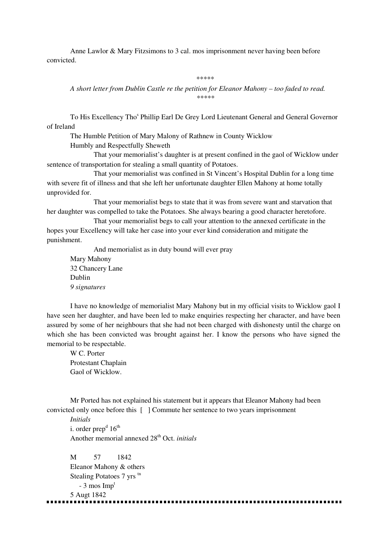Anne Lawlor & Mary Fitzsimons to 3 cal. mos imprisonment never having been before convicted.

#### \*\*\*\*\*\*

*A short letter from Dublin Castle re the petition for Eleanor Mahony – too faded to read. \*\*\*\*\** 

To His Excellency Tho<sup>s</sup> Phillip Earl De Grey Lord Lieutenant General and General Governor of Ireland

The Humble Petition of Mary Malony of Rathnew in County Wicklow

Humbly and Respectfully Sheweth

 That your memorialist's daughter is at present confined in the gaol of Wicklow under sentence of transportation for stealing a small quantity of Potatoes.

 That your memorialist was confined in St Vincent's Hospital Dublin for a long time with severe fit of illness and that she left her unfortunate daughter Ellen Mahony at home totally unprovided for.

 That your memorialist begs to state that it was from severe want and starvation that her daughter was compelled to take the Potatoes. She always bearing a good character heretofore.

 That your memorialist begs to call your attention to the annexed certificate in the hopes your Excellency will take her case into your ever kind consideration and mitigate the punishment.

 And memorialist as in duty bound will ever pray Mary Mahony 32 Chancery Lane Dublin *9 signatures* 

I have no knowledge of memorialist Mary Mahony but in my official visits to Wicklow gaol I have seen her daughter, and have been led to make enquiries respecting her character, and have been assured by some of her neighbours that she had not been charged with dishonesty until the charge on which she has been convicted was brought against her. I know the persons who have signed the memorial to be respectable.

W C. Porter Protestant Chaplain Gaol of Wicklow.

Mr Ported has not explained his statement but it appears that Eleanor Mahony had been convicted only once before this [ ] Commute her sentence to two years imprisonment

*Initials*  i. order prep<sup>d</sup>  $16^{\text{th}}$ Another memorial annexed 28<sup>th</sup> Oct. *initials* 

M 57 1842 Eleanor Mahony & others Stealing Potatoes 7 yrs tn  $-3$  mos Imp<sup>t</sup> 5 Augt 1842